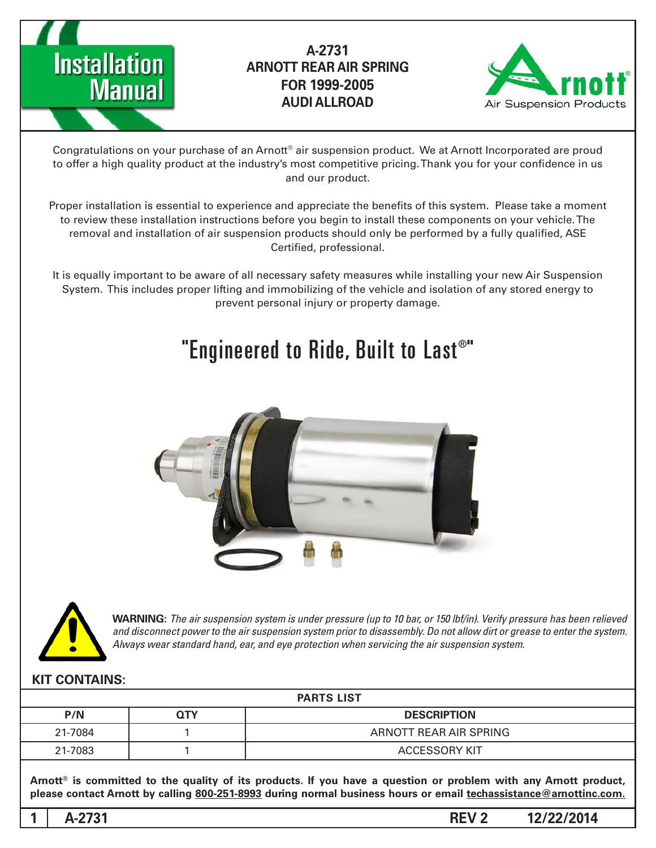



Congratulations on your purchase of an Arnott® air suspension product. We at Arnott Incorporated are proud to offer a high quality product at the industry's most competitive pricing. Thank you for your confidence in us and our product.

Proper installation is essential to experience and appreciate the benefits of this system. Please take a moment to review these installation instructions before you begin to install these components on your vehicle. The removal and installation of air suspension products should only be performed by a fully qualified, ASE Certified, professional.

It is equally important to be aware of all necessary safety measures while installing your new Air Suspension System. This includes proper lifting and immobilizing of the vehicle and isolation of any stored energy to prevent personal injury or property damage.

# "Engineered to Ride, Built to Last®"





*WARNING: The air suspension system is under pressure (up to 10 bar, or 150 lbf/in). Verify pressure has been relieved* and disconnect power to the air suspension system prior to disassembly. Do not allow dirt or grease to enter the system. Always wear standard hand, ear, and eye protection when servicing the air suspension system.

#### **KIT CONTAINS:**

| <b>PARTS LIST</b> |            |                        |
|-------------------|------------|------------------------|
| P/N               | <b>QTY</b> | <b>DESCRIPTION</b>     |
| 21-7084           |            | ARNOTT REAR AIR SPRING |
| 21-7083           |            | ACCESSORY KIT          |

Arnott<sup>®</sup> is committed to the quality of its products. If you have a question or problem with any Arnott product, please contact Arnott by calling 800-251-8993 during normal business hours or email techassistance@arnottinc.com.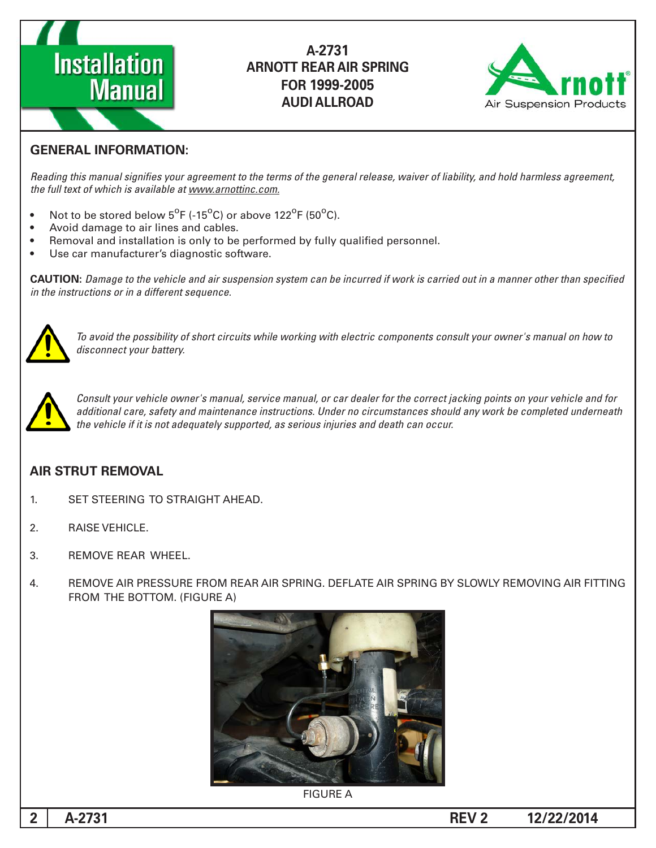



#### **GENERAL INFORMATION:**

Reading this manual signifies your agreement to the terms of the general release, waiver of liability, and hold harmless agreement, the full text of which is available at www.arnottinc.com.

- Not to be stored below  $5^{\circ}$ F (-15 $^{\circ}$ C) or above 122 $^{\circ}$ F (50 $^{\circ}$ C).
- Avoid damage to air lines and cables.
- Removal and installation is only to be performed by fully qualified personnel.
- Use car manufacturer's diagnostic software.

**CAUTION:** Damage to the vehicle and air suspension system can be incurred if work is carried out in a manner other than specified *in the instructions or in a different sequence.* 



 *to how on manual s'owner your consult components electric with working while circuits short of possibility the avoid To* disconnect your battery.



*Consult your vehicle owner's manual, service manual, or car dealer for the correct jacking points on your vehicle and for* additional care, safety and maintenance instructions. Under no circumstances should any work be completed underneath the vehicle if it is not adequately supported, as serious injuries and death can occur.

#### **AIR STRUT REMOVAL**

- 1. SET STEERING TO STRAIGHT AHEAD.
- 2. RAISE VEHICLE.
- 3. REMOVE REAR WHEEL
- 4. REMOVE AIR PRESSURE FROM REAR AIR SPRING. DEFLATE AIR SPRING BY SLOWLY REMOVING AIR FITTING FROM THE BOTTOM. (FIGURE A)



**FIGURE A**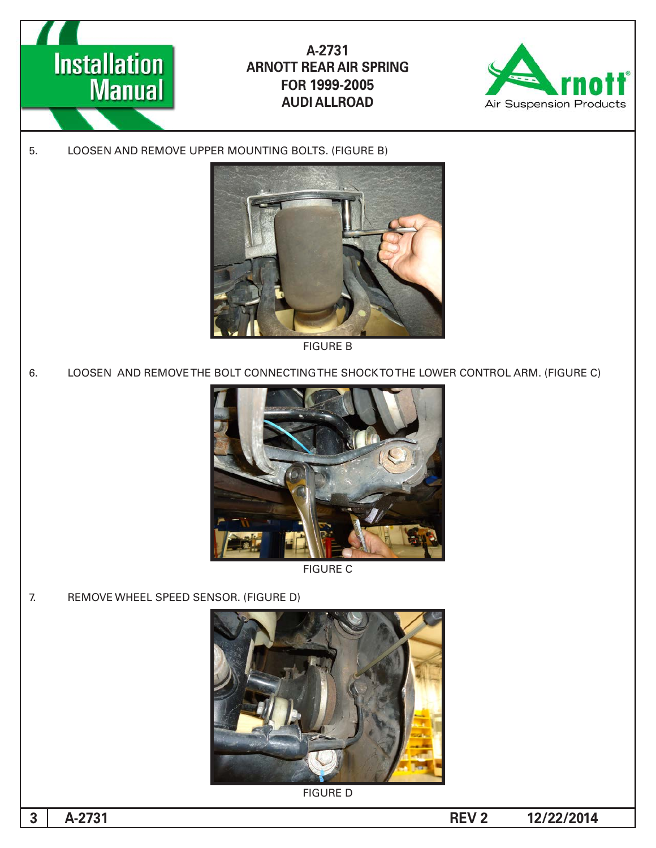



5. LOOSEN AND REMOVE UPPER MOUNTING BOLTS. (FIGURE B)



**FIGURE B** 

6. LOOSEN AND REMOVE THE BOLT CONNECTING THE SHOCK TO THE LOWER CONTROL ARM. (FIGURE C)



**FIGURE C** 

7. REMOVE WHEEL SPEED SENSOR. (FIGURE D)



**FIGURE D** 

**3**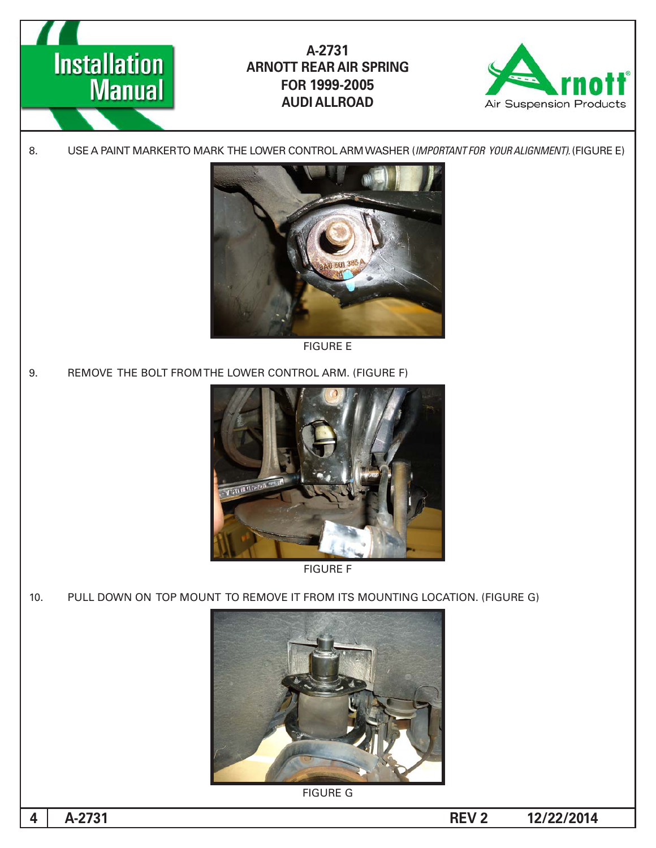



8. USE A PAINT MARKERTO MARK THE LOWER CONTROL ARM WASHER (IMPORTANT FOR YOUR ALIGNMENT). (FIGURE E)



**FIGURE E** 

9. REMOVE THE BOLT FROM THE LOWER CONTROL ARM. (FIGURE F)





10. PULL DOWN ON TOP MOUNT TO REMOVE IT FROM ITS MOUNTING LOCATION. (FIGURE G)



**FIGURE G**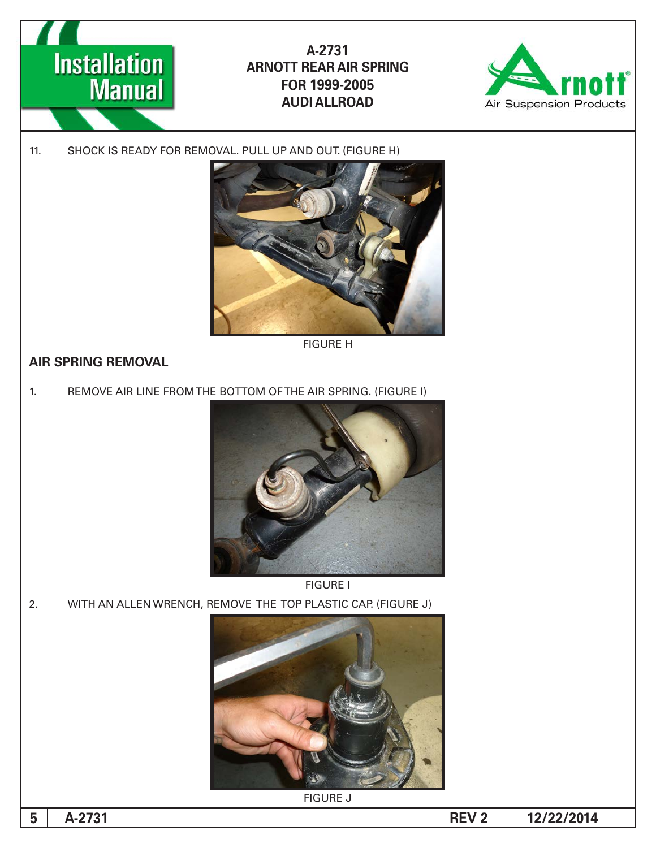



11. SHOCK IS READY FOR REMOVAL. PULL UP AND OUT. (FIGURE H)



**FIGURE H** 

#### **AIR SPRING REMOVAL**

1. REMOVE AIR LINE FROM THE BOTTOM OF THE AIR SPRING. (FIGURE I)



**FIGURE I** 

2. WITH AN ALLEN WRENCH, REMOVE THE TOP PLASTIC CAP. (FIGURE J)



**FIGURE J** 

**5**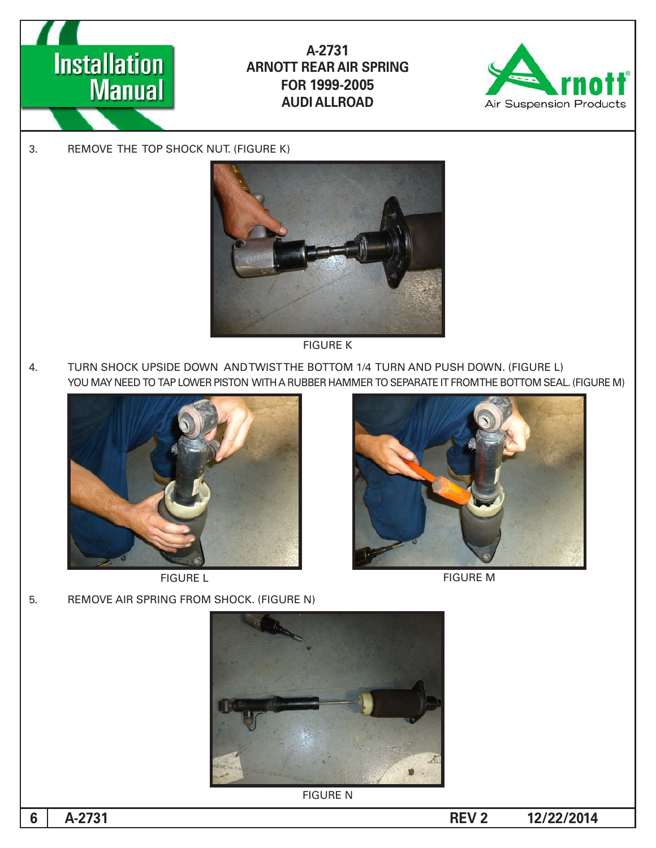



3. REMOVE THE TOP SHOCK NUT. (FIGURE K)



**FIGURE K** 

4. TURN SHOCK UPSIDE DOWN AND TWIST THE BOTTOM 1/4 TURN AND PUSH DOWN. (FIGURE L) YOU MAY NEED TO TAP LOWER PISTON WITH A RUBBER HAMMER TO SEPARATE IT FROMTHE BOTTOM SEAL. (FIGURE M)



**FIGURE L** 



**FIGURE M** 

5. REMOVE AIR SPRING FROM SHOCK. (FIGURE N)



**FIGURE N** 

**6**

**12/22/2014 REV 2**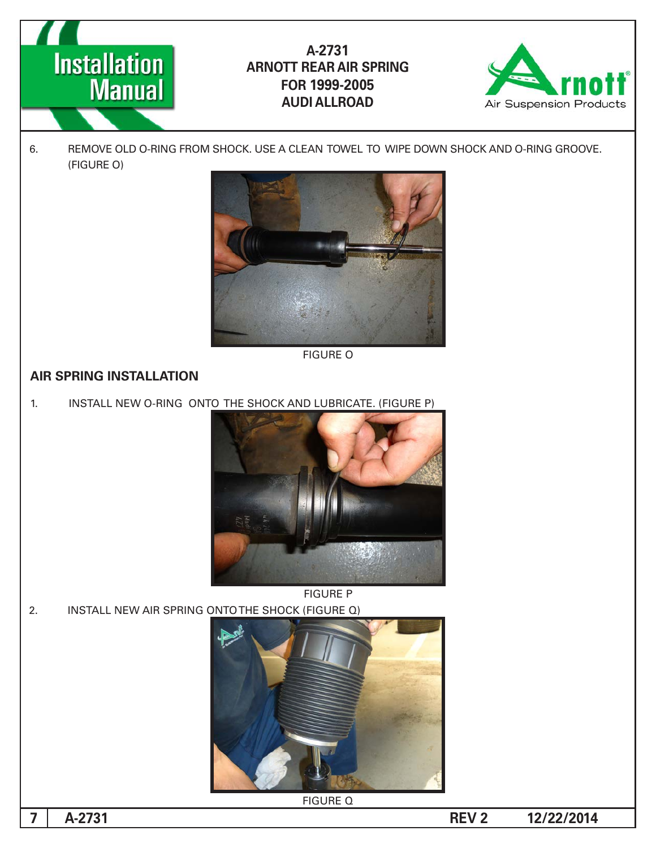



6. REMOVE OLD O-RING FROM SHOCK. USE A CLEAN TOWEL TO WIPE DOWN SHOCK AND O-RING GROOVE. (FIGURE O)



**FIGURE O** 

#### **AIR SPRING INSTALLATION**

1. INSTALL NEW O-RING ONTO THE SHOCK AND LUBRICATE. (FIGURE P)



2. INSTALL NEW AIR SPRING ONTO THE SHOCK (FIGURE Q)



**FIGURE Q** 

**7**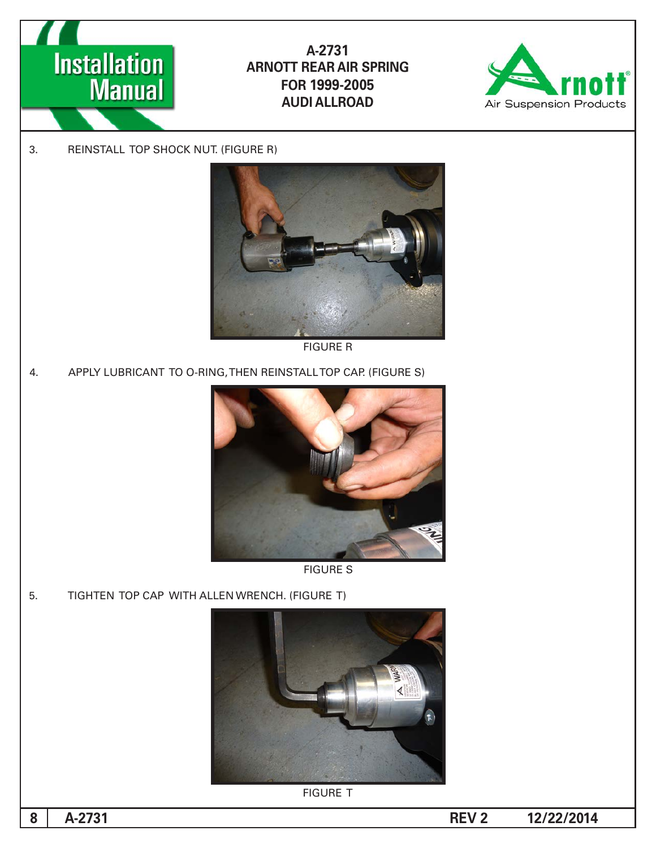



3. REINSTALL TOP SHOCK NUT. (FIGURE R)



**FIGURE R** 

4. APPLY LUBRICANT TO O-RING, THEN REINSTALL TOP CAP. (FIGURE S)



**FIGURE S** 

5. TIGHTEN TOP CAP WITH ALLEN WRENCH. (FIGURE T)



**FIGURE T**